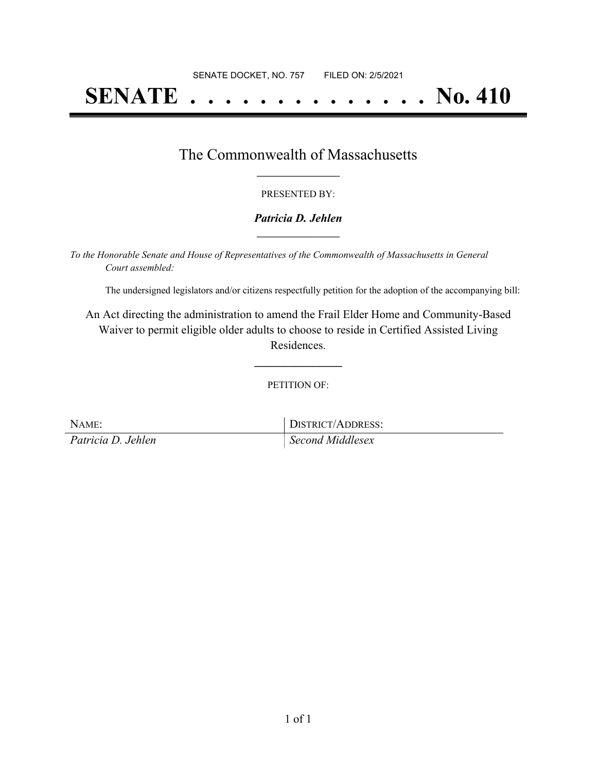# **SENATE . . . . . . . . . . . . . . No. 410**

## The Commonwealth of Massachusetts **\_\_\_\_\_\_\_\_\_\_\_\_\_\_\_\_\_**

#### PRESENTED BY:

### *Patricia D. Jehlen* **\_\_\_\_\_\_\_\_\_\_\_\_\_\_\_\_\_**

*To the Honorable Senate and House of Representatives of the Commonwealth of Massachusetts in General Court assembled:*

The undersigned legislators and/or citizens respectfully petition for the adoption of the accompanying bill:

An Act directing the administration to amend the Frail Elder Home and Community-Based Waiver to permit eligible older adults to choose to reside in Certified Assisted Living Residences.

PETITION OF:

**\_\_\_\_\_\_\_\_\_\_\_\_\_\_\_**

| NAME:              | DISTRICT/ADDRESS: |
|--------------------|-------------------|
| Patricia D. Jehlen | Second Middlesex  |